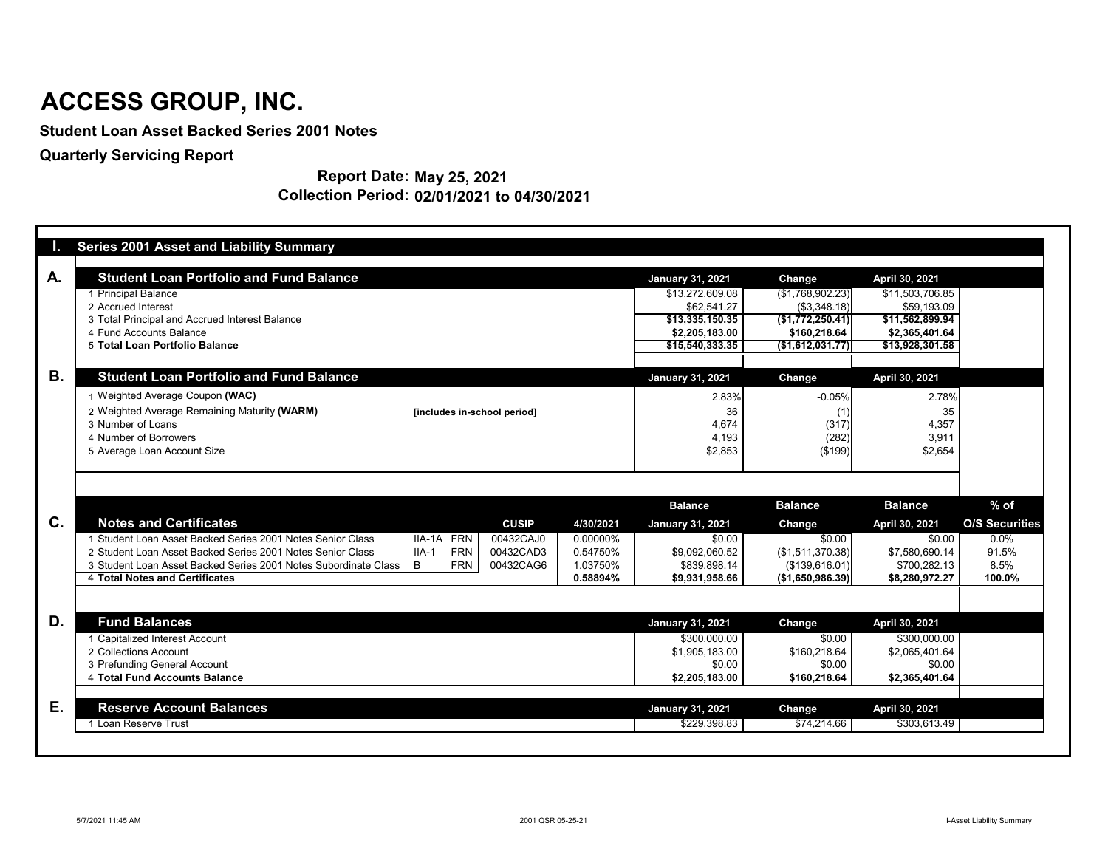| u.             | <b>Series 2001 Asset and Liability Summary</b>                  |                             |              |           |                                         |                                  |                                   |                       |
|----------------|-----------------------------------------------------------------|-----------------------------|--------------|-----------|-----------------------------------------|----------------------------------|-----------------------------------|-----------------------|
|                |                                                                 |                             |              |           |                                         |                                  |                                   |                       |
| A.             | <b>Student Loan Portfolio and Fund Balance</b>                  |                             |              |           | <b>January 31, 2021</b>                 | <b>Change</b>                    | April 30, 2021                    |                       |
|                | 1 Principal Balance                                             |                             |              |           | \$13,272,609.08                         | (\$1,768,902.23)                 | \$11,503,706.85                   |                       |
|                | 2 Accrued Interest                                              |                             |              |           | \$62,541.27                             | (\$3,348.18)                     | \$59,193.09                       |                       |
|                | 3 Total Principal and Accrued Interest Balance                  |                             |              |           | \$13,335,150.35                         | (\$1,772,250.41)]                | \$11,562,899.94                   |                       |
|                | 4 Fund Accounts Balance<br>5 Total Loan Portfolio Balance       |                             |              |           | \$2,205,183.00<br>\$15,540,333.35       | \$160,218.64<br>(\$1,612,031.77) | \$2,365,401.64<br>\$13,928,301.58 |                       |
|                |                                                                 |                             |              |           |                                         |                                  |                                   |                       |
| В.             | <b>Student Loan Portfolio and Fund Balance</b>                  |                             |              |           | <b>January 31, 2021</b>                 | <b>Change</b>                    | April 30, 2021                    |                       |
|                | 1 Weighted Average Coupon (WAC)                                 |                             |              |           | 2.83%                                   | $-0.05%$                         | 2.78%                             |                       |
|                | 2 Weighted Average Remaining Maturity (WARM)                    | [includes in-school period] |              |           | 36                                      | (1)                              | 35                                |                       |
|                | 3 Number of Loans                                               |                             |              |           | 4,674                                   | (317)                            | 4,357                             |                       |
|                | 4 Number of Borrowers                                           |                             |              |           | 4,193                                   | (282)                            | 3,911                             |                       |
|                | 5 Average Loan Account Size                                     |                             |              |           | \$2,853                                 | (\$199)                          | \$2,654                           |                       |
|                |                                                                 |                             |              |           |                                         |                                  |                                   |                       |
|                |                                                                 |                             |              |           |                                         |                                  |                                   |                       |
|                |                                                                 |                             |              |           | <b>Balance</b>                          | <b>Balance</b>                   | <b>Balance</b>                    | $%$ of                |
| $\mathbf{C}$ . | <b>Notes and Certificates</b>                                   |                             | <b>CUSIP</b> | 4/30/2021 | <b>January 31, 2021</b>                 | <b>Change</b>                    | April 30, 2021                    | <b>O/S Securities</b> |
|                | 1 Student Loan Asset Backed Series 2001 Notes Senior Class      | IIA-1A FRN                  | 00432CAJ0    | 0.00000%  | \$0.00                                  | \$0.00                           | \$0.00                            | $0.0\%$               |
|                | 2 Student Loan Asset Backed Series 2001 Notes Senior Class      | <b>FRN</b><br>$IIA-1$       | 00432CAD3    | 0.54750%  | \$9,092,060.52                          | (\$1,511,370.38)                 | \$7,580,690.14                    | 91.5%                 |
|                | 3 Student Loan Asset Backed Series 2001 Notes Subordinate Class | <b>FRN</b><br>B             | 00432CAG6    | 1.03750%  | \$839,898.14                            | (\$139,616.01)                   | \$700,282.13                      | 8.5%                  |
|                | 4 Total Notes and Certificates                                  |                             |              | 0.58894%  | \$9,931,958.66                          | (\$1,650,986.39)                 | \$8,280,972.27                    | 100.0%                |
|                |                                                                 |                             |              |           |                                         |                                  |                                   |                       |
|                |                                                                 |                             |              |           |                                         |                                  |                                   |                       |
|                | <b>Fund Balances</b>                                            |                             |              |           | <b>January 31, 2021</b>                 | <b>Change</b>                    | April 30, 2021                    |                       |
|                | 1 Capitalized Interest Account                                  |                             |              |           | \$300,000.00                            | \$0.00                           | \$300,000.00                      |                       |
|                | 2 Collections Account                                           |                             |              |           | \$1,905,183.00                          | \$160,218.64                     | \$2,065,401.64                    |                       |
|                | 3 Prefunding General Account                                    |                             |              |           | \$0.00                                  | \$0.00                           | \$0.00                            |                       |
|                | 4 Total Fund Accounts Balance                                   |                             |              |           | \$2,205,183.00                          | \$160,218.64                     | \$2,365,401.64                    |                       |
|                |                                                                 |                             |              |           |                                         |                                  |                                   |                       |
| D.<br>Е.       | <b>Reserve Account Balances</b><br>1 Loan Reserve Trust         |                             |              |           | <b>January 31, 2021</b><br>\$229,398.83 | <b>Change</b><br>\$74,214.66     | April 30, 2021<br>\$303,613.49    |                       |

**Report Date: May 25, 2021 Collection Period: 02/01/2021 to 04/30/2021**

## **ACCESS GROUP, INC.**

**Student Loan Asset Backed Series 2001 Notes**

**Quarterly Servicing Report**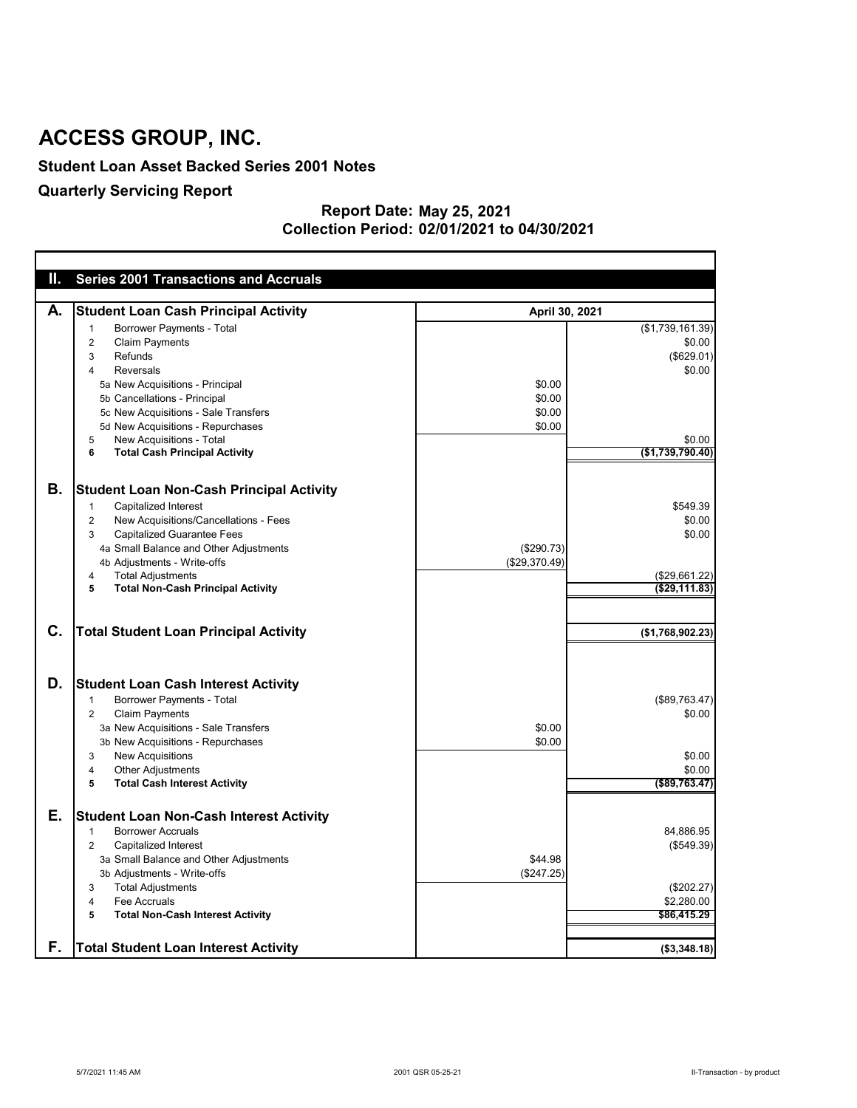#### **Student Loan Asset Backed Series 2001 Notes**

### **Quarterly Servicing Report**

#### **May 25, 2021 02/01/2021 to 04/30/2021 Report Date: Collection Period:**

| Ш.             | <b>Series 2001 Transactions and Accruals</b>            |                |                   |
|----------------|---------------------------------------------------------|----------------|-------------------|
|                |                                                         |                |                   |
| А.             | <b>Student Loan Cash Principal Activity</b>             | April 30, 2021 |                   |
|                | <b>Borrower Payments - Total</b><br>-1                  |                | (\$1,739,161.39)  |
|                | <b>Claim Payments</b><br>2                              |                | \$0.00            |
|                | Refunds<br>3                                            |                | (\$629.01)        |
|                | <b>Reversals</b><br>4                                   |                | \$0.00            |
|                | 5a New Acquisitions - Principal                         | \$0.00         |                   |
|                | 5b Cancellations - Principal                            | \$0.00         |                   |
|                | 5c New Acquisitions - Sale Transfers                    | \$0.00         |                   |
|                | 5d New Acquisitions - Repurchases                       | \$0.00         |                   |
|                | New Acquisitions - Total<br>5                           |                | \$0.00            |
|                | <b>Total Cash Principal Activity</b><br>6               |                | (\$1,739,790.40)  |
|                |                                                         |                |                   |
| Β.             | <b>Student Loan Non-Cash Principal Activity</b>         |                |                   |
|                | <b>Capitalized Interest</b><br>$\mathbf 1$              |                | \$549.39          |
|                | New Acquisitions/Cancellations - Fees<br>$\overline{2}$ |                | \$0.00            |
|                | <b>Capitalized Guarantee Fees</b><br>3                  |                | \$0.00            |
|                | 4a Small Balance and Other Adjustments                  | (\$290.73)     |                   |
|                | 4b Adjustments - Write-offs                             | (\$29,370.49)  |                   |
|                | <b>Total Adjustments</b><br>4                           |                | (\$29,661.22)     |
|                | <b>Total Non-Cash Principal Activity</b><br>5           |                | ( \$29, 111.83)   |
|                |                                                         |                |                   |
| $\mathbf{C}$ . |                                                         |                |                   |
|                | <b>Total Student Loan Principal Activity</b>            |                | (\$1,768,902.23)  |
|                |                                                         |                |                   |
|                |                                                         |                |                   |
| D.             | <b>Student Loan Cash Interest Activity</b>              |                |                   |
|                | <b>Borrower Payments - Total</b><br>1                   |                | (\$89,763.47)     |
|                | <b>Claim Payments</b><br>$\overline{2}$                 |                | \$0.00            |
|                | 3a New Acquisitions - Sale Transfers                    | \$0.00         |                   |
|                | 3b New Acquisitions - Repurchases                       | \$0.00         |                   |
|                | <b>New Acquisitions</b><br>3                            |                | \$0.00            |
|                | <b>Other Adjustments</b><br>4                           |                | \$0.00            |
|                | <b>Total Cash Interest Activity</b><br>5                |                | $($ \$89,763.47)  |
|                |                                                         |                |                   |
| Е.             | <b>Student Loan Non-Cash Interest Activity</b>          |                |                   |
|                | <b>Borrower Accruals</b><br>1                           |                | 84,886.95         |
|                | <b>Capitalized Interest</b><br>2                        |                | $($ \$549.39) $ $ |
|                | 3a Small Balance and Other Adjustments                  | \$44.98        |                   |
|                | 3b Adjustments - Write-offs                             | (\$247.25)     |                   |
|                | <b>Total Adjustments</b><br>3                           |                | (\$202.27)        |
|                | Fee Accruals<br>4                                       |                | \$2,280.00        |
|                | <b>Total Non-Cash Interest Activity</b><br>5            |                | \$86,415.29       |
|                |                                                         |                |                   |
| F.             | <b>Total Student Loan Interest Activity</b>             |                | ( \$3,348.18)     |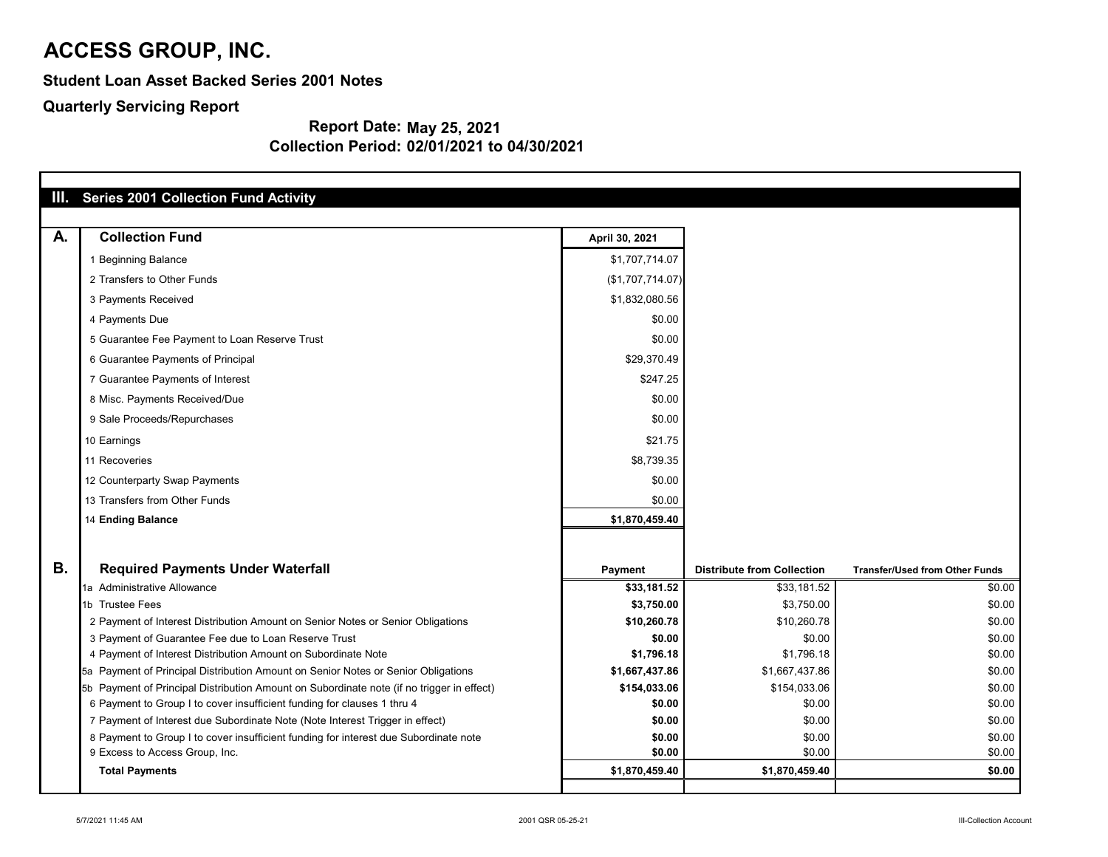**Student Loan Asset Backed Series 2001 Notes**

**Quarterly Servicing Report**

| Ш.        | <b>Series 2001 Collection Fund Activity</b>                                               |                  |                                   |                                       |
|-----------|-------------------------------------------------------------------------------------------|------------------|-----------------------------------|---------------------------------------|
| A.        | <b>Collection Fund</b>                                                                    | April 30, 2021   |                                   |                                       |
|           | 1 Beginning Balance                                                                       | \$1,707,714.07   |                                   |                                       |
|           | 2 Transfers to Other Funds                                                                | (\$1,707,714.07) |                                   |                                       |
|           | 3 Payments Received                                                                       | \$1,832,080.56   |                                   |                                       |
|           | 4 Payments Due                                                                            | \$0.00           |                                   |                                       |
|           | 5 Guarantee Fee Payment to Loan Reserve Trust                                             | \$0.00           |                                   |                                       |
|           | 6 Guarantee Payments of Principal                                                         | \$29,370.49      |                                   |                                       |
|           | 7 Guarantee Payments of Interest                                                          | \$247.25         |                                   |                                       |
|           | 8 Misc. Payments Received/Due                                                             | \$0.00           |                                   |                                       |
|           | 9 Sale Proceeds/Repurchases                                                               | \$0.00           |                                   |                                       |
|           | 10 Earnings                                                                               | \$21.75          |                                   |                                       |
|           | 11 Recoveries                                                                             | \$8,739.35       |                                   |                                       |
|           | 12 Counterparty Swap Payments                                                             | \$0.00           |                                   |                                       |
|           | 13 Transfers from Other Funds                                                             | \$0.00           |                                   |                                       |
|           | <b>14 Ending Balance</b>                                                                  | \$1,870,459.40   |                                   |                                       |
| <b>B.</b> | <b>Required Payments Under Waterfall</b>                                                  | <b>Payment</b>   | <b>Distribute from Collection</b> | <b>Transfer/Used from Other Funds</b> |
|           | 1a Administrative Allowance                                                               | \$33,181.52      | \$33,181.52                       | \$0.00                                |
|           | 1b Trustee Fees                                                                           | \$3,750.00       | \$3,750.00                        | \$0.00                                |
|           | 2 Payment of Interest Distribution Amount on Senior Notes or Senior Obligations           | \$10,260.78      | \$10,260.78                       | \$0.00                                |
|           | 3 Payment of Guarantee Fee due to Loan Reserve Trust                                      | \$0.00           | \$0.00                            | \$0.00                                |
|           | 4 Payment of Interest Distribution Amount on Subordinate Note                             | \$1,796.18       | \$1,796.18                        | \$0.00                                |
|           | 5a Payment of Principal Distribution Amount on Senior Notes or Senior Obligations         | \$1,667,437.86   | \$1,667,437.86                    | \$0.00                                |
|           | 5b Payment of Principal Distribution Amount on Subordinate note (if no trigger in effect) | \$154,033.06     | \$154,033.06                      | \$0.00                                |
|           | 6 Payment to Group I to cover insufficient funding for clauses 1 thru 4                   | \$0.00           | \$0.00                            | \$0.00                                |
|           | 7 Payment of Interest due Subordinate Note (Note Interest Trigger in effect)              | \$0.00           | \$0.00                            | \$0.00                                |
|           | 8 Payment to Group I to cover insufficient funding for interest due Subordinate note      | \$0.00           | \$0.00                            | \$0.00                                |
|           | 9 Excess to Access Group, Inc.                                                            | \$0.00           | \$0.00                            | \$0.00                                |
|           | <b>Total Payments</b>                                                                     | \$1,870,459.40   | \$1,870,459.40                    | \$0.00                                |
|           |                                                                                           |                  |                                   |                                       |

| nsfer/Used from Other Funds |                  |
|-----------------------------|------------------|
|                             | \$0.00           |
|                             | \$0.00           |
|                             | \$0.00           |
|                             | \$0.00           |
|                             | \$0.00           |
|                             | \$0.00           |
|                             | \$0.00           |
|                             | \$0.00           |
|                             | \$0.00           |
|                             | \$0.00<br>\$0.00 |
|                             | \$0.00           |
|                             |                  |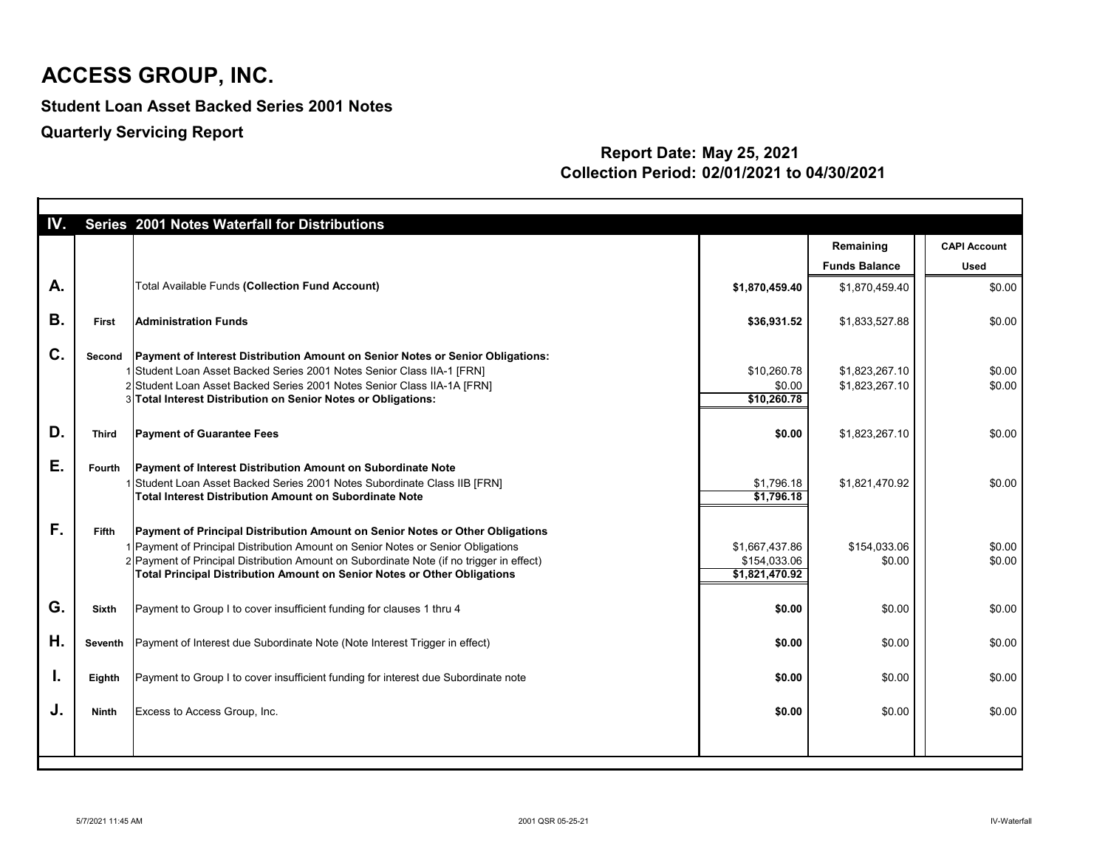**Student Loan Asset Backed Series 2001 Notes**

**Quarterly Servicing Report**

| IV. |              | Series 2001 Notes Waterfall for Distributions                                                                                                                                                                                                                                                                                                    |                                                  |                                  |                     |
|-----|--------------|--------------------------------------------------------------------------------------------------------------------------------------------------------------------------------------------------------------------------------------------------------------------------------------------------------------------------------------------------|--------------------------------------------------|----------------------------------|---------------------|
|     |              |                                                                                                                                                                                                                                                                                                                                                  |                                                  | Remaining                        | <b>CAPI Account</b> |
|     |              |                                                                                                                                                                                                                                                                                                                                                  |                                                  | <b>Funds Balance</b>             | <b>Used</b>         |
| A.  |              | Total Available Funds (Collection Fund Account)                                                                                                                                                                                                                                                                                                  | \$1,870,459.40                                   | \$1,870,459.40                   | \$0.00              |
| В.  | <b>First</b> | <b>Administration Funds</b>                                                                                                                                                                                                                                                                                                                      | \$36,931.52                                      | \$1,833,527.88                   | \$0.00              |
| C.  | Second       | Payment of Interest Distribution Amount on Senior Notes or Senior Obligations:<br>1 Student Loan Asset Backed Series 2001 Notes Senior Class IIA-1 [FRN]<br>2 Student Loan Asset Backed Series 2001 Notes Senior Class IIA-1A [FRN]<br>3 Total Interest Distribution on Senior Notes or Obligations:                                             | \$10,260.78<br>\$0.00<br>\$10,260.78             | \$1,823,267.10<br>\$1,823,267.10 | \$0.00<br>\$0.00    |
| D.  | <b>Third</b> | <b>Payment of Guarantee Fees</b>                                                                                                                                                                                                                                                                                                                 | \$0.00                                           | \$1,823,267.10                   | \$0.00              |
| Е.  | Fourth       | <b>Payment of Interest Distribution Amount on Subordinate Note</b><br>1 Student Loan Asset Backed Series 2001 Notes Subordinate Class IIB [FRN]<br>Total Interest Distribution Amount on Subordinate Note                                                                                                                                        | \$1,796.18<br>\$1,796.18                         | \$1,821,470.92                   | \$0.00              |
| F.  | <b>Fifth</b> | <b>Payment of Principal Distribution Amount on Senior Notes or Other Obligations</b><br>1 Payment of Principal Distribution Amount on Senior Notes or Senior Obligations<br>2 Payment of Principal Distribution Amount on Subordinate Note (if no trigger in effect)<br>Total Principal Distribution Amount on Senior Notes or Other Obligations | \$1,667,437.86<br>\$154,033.06<br>\$1,821,470.92 | \$154,033.06<br>\$0.00           | \$0.00<br>\$0.00    |
| G.  | <b>Sixth</b> | Payment to Group I to cover insufficient funding for clauses 1 thru 4                                                                                                                                                                                                                                                                            | \$0.00                                           | \$0.00                           | \$0.00              |
| Η.  |              | Seventh   Payment of Interest due Subordinate Note (Note Interest Trigger in effect)                                                                                                                                                                                                                                                             | \$0.00                                           | \$0.00                           | \$0.00              |
| L.  | Eighth       | Payment to Group I to cover insufficient funding for interest due Subordinate note                                                                                                                                                                                                                                                               | \$0.00                                           | \$0.00                           | \$0.00              |
| J.  | <b>Ninth</b> | Excess to Access Group, Inc.                                                                                                                                                                                                                                                                                                                     | \$0.00                                           | \$0.00                           | \$0.00              |
|     |              |                                                                                                                                                                                                                                                                                                                                                  |                                                  |                                  |                     |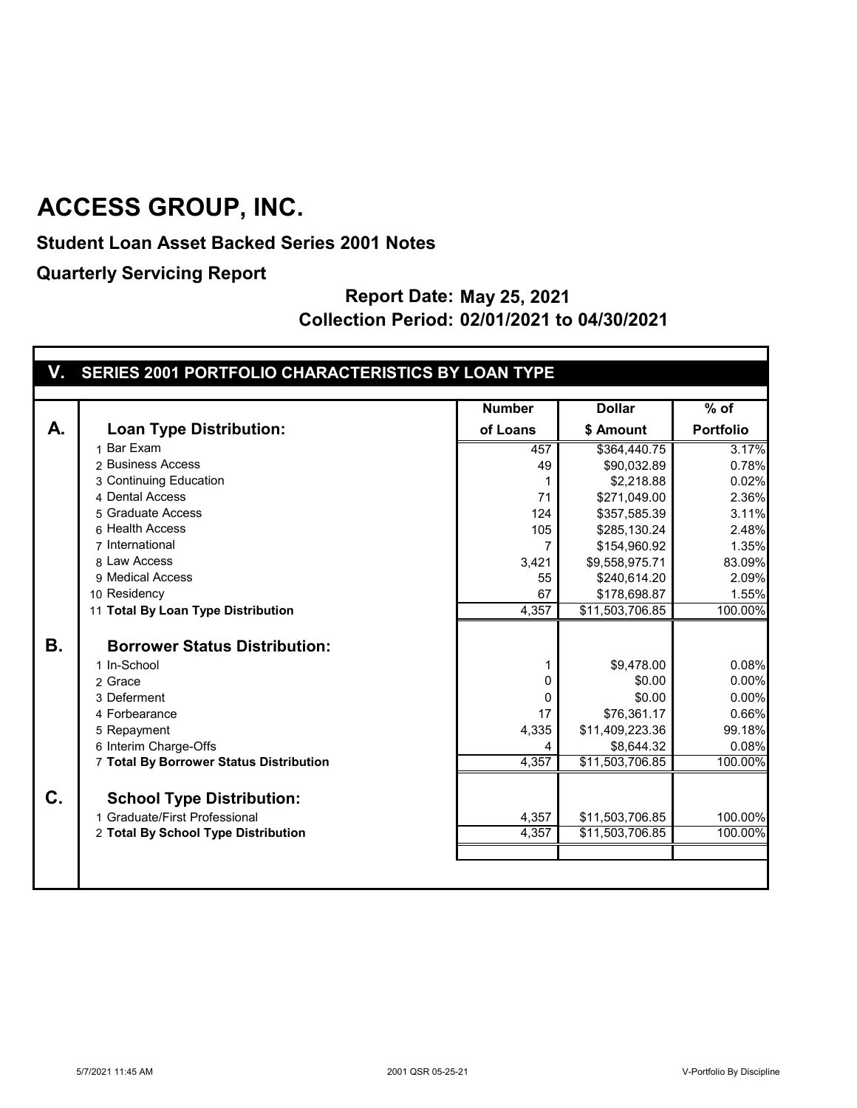**Student Loan Asset Backed Series 2001 Notes**

**Quarterly Servicing Report**

| V. SERIES 2001 PORTFOLIO CHARACTERISTICS BY LOAN TYPE |
|-------------------------------------------------------|
|                                                       |

|                |                                         | <b>Number</b> | <b>Dollar</b>   | $%$ of           |
|----------------|-----------------------------------------|---------------|-----------------|------------------|
| A.             | <b>Loan Type Distribution:</b>          | of Loans      | \$ Amount       | <b>Portfolio</b> |
|                | 1 Bar Exam                              | 457           | \$364,440.75    | 3.17%            |
|                | 2 Business Access                       | 49            | \$90,032.89     | 0.78%            |
|                | 3 Continuing Education                  |               | \$2,218.88      | 0.02%            |
|                | 4 Dental Access                         | 71            | \$271,049.00    | 2.36%            |
|                | 5 Graduate Access                       | 124           | \$357,585.39    | 3.11%            |
|                | 6 Health Access                         | 105           | \$285,130.24    | 2.48%            |
|                | 7 International                         |               | \$154,960.92    | 1.35%            |
|                | 8 Law Access                            | 3,421         | \$9,558,975.71  | 83.09%           |
|                | 9 Medical Access                        | 55            | \$240,614.20    | 2.09%            |
|                | 10 Residency                            | 67            | \$178,698.87    | 1.55%            |
|                | 11 Total By Loan Type Distribution      | 4,357         | \$11,503,706.85 | 100.00%          |
|                |                                         |               |                 |                  |
| <b>B.</b>      | <b>Borrower Status Distribution:</b>    |               |                 |                  |
|                | 1 In-School                             |               | \$9,478.00      | 0.08%            |
|                | 2 Grace                                 | 0             | \$0.00          | 0.00%            |
|                | 3 Deferment                             | $\Omega$      | \$0.00          | 0.00%            |
|                | 4 Forbearance                           | 17            | \$76,361.17     | 0.66%            |
|                | 5 Repayment                             | 4,335         | \$11,409,223.36 | 99.18%           |
|                | 6 Interim Charge-Offs                   |               | \$8,644.32      | 0.08%            |
|                | 7 Total By Borrower Status Distribution | 4,357         | \$11,503,706.85 | 100.00%          |
|                |                                         |               |                 |                  |
| $\mathbf{C}$ . | <b>School Type Distribution:</b>        |               |                 |                  |
|                | 1 Graduate/First Professional           | 4,357         | \$11,503,706.85 | 100.00%          |
|                | 2 Total By School Type Distribution     | 4,357         | \$11,503,706.85 | 100.00%          |
|                |                                         |               |                 |                  |
|                |                                         |               |                 |                  |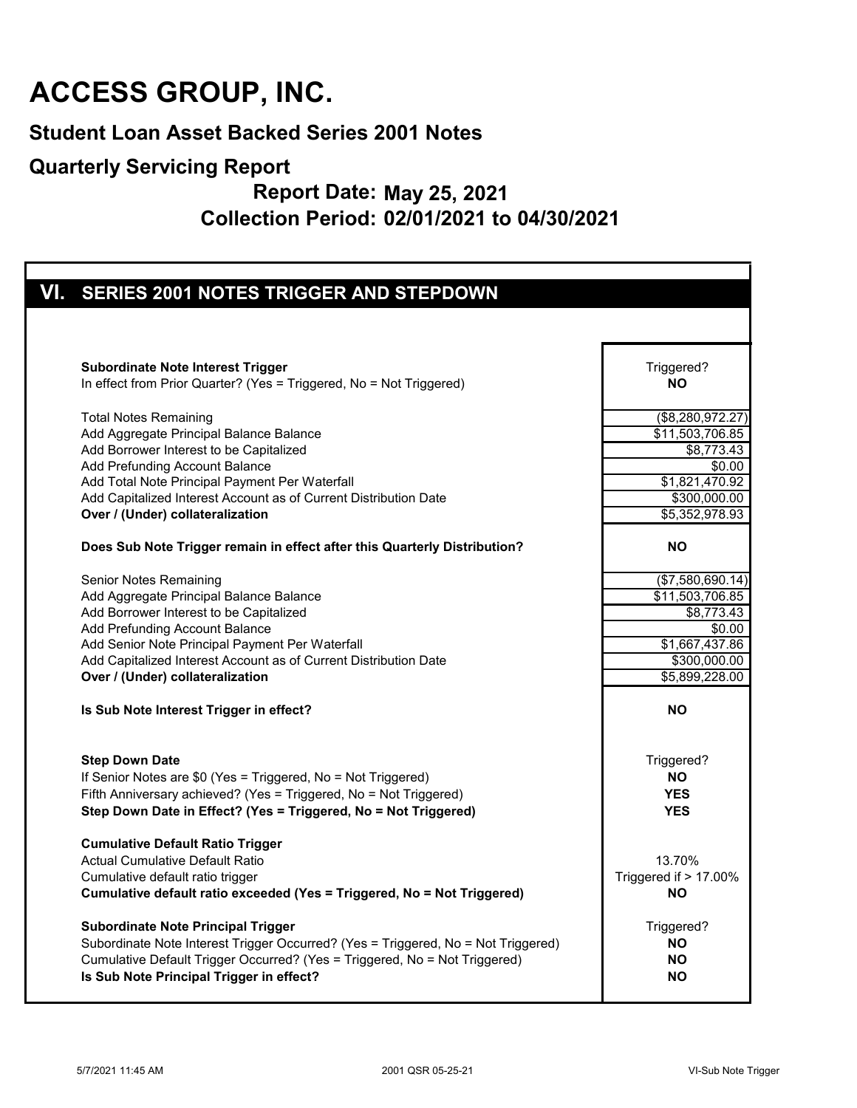#### **Student Loan Asset Backed Series 2001 Notes**

#### **Quarterly Servicing Report**

| VI. SERIES 2001 NOTES TRIGGER AND STEPDOWN                                                                                                                                                                                                                                                                                                                                                                                                                   |                                                                                                   |
|--------------------------------------------------------------------------------------------------------------------------------------------------------------------------------------------------------------------------------------------------------------------------------------------------------------------------------------------------------------------------------------------------------------------------------------------------------------|---------------------------------------------------------------------------------------------------|
|                                                                                                                                                                                                                                                                                                                                                                                                                                                              |                                                                                                   |
| <b>Subordinate Note Interest Trigger</b>                                                                                                                                                                                                                                                                                                                                                                                                                     | Triggered?                                                                                        |
| In effect from Prior Quarter? (Yes = Triggered, No = Not Triggered)                                                                                                                                                                                                                                                                                                                                                                                          | <b>NO</b>                                                                                         |
| <b>Total Notes Remaining</b>                                                                                                                                                                                                                                                                                                                                                                                                                                 | $($ \$8,280,972.27)                                                                               |
| Add Aggregate Principal Balance Balance                                                                                                                                                                                                                                                                                                                                                                                                                      | \$11,503,706.85                                                                                   |
| Add Borrower Interest to be Capitalized                                                                                                                                                                                                                                                                                                                                                                                                                      | $\overline{$8,773.43}$                                                                            |
| Add Prefunding Account Balance                                                                                                                                                                                                                                                                                                                                                                                                                               | \$0.00                                                                                            |
| Add Total Note Principal Payment Per Waterfall                                                                                                                                                                                                                                                                                                                                                                                                               | \$1,821,470.92                                                                                    |
| Add Capitalized Interest Account as of Current Distribution Date                                                                                                                                                                                                                                                                                                                                                                                             | \$300,000.00                                                                                      |
| Over / (Under) collateralization                                                                                                                                                                                                                                                                                                                                                                                                                             | $\overline{$5,352,978.93}$                                                                        |
| Does Sub Note Trigger remain in effect after this Quarterly Distribution?                                                                                                                                                                                                                                                                                                                                                                                    | <b>NO</b>                                                                                         |
| <b>Senior Notes Remaining</b>                                                                                                                                                                                                                                                                                                                                                                                                                                | (\$7,580,690.14)                                                                                  |
| Add Aggregate Principal Balance Balance                                                                                                                                                                                                                                                                                                                                                                                                                      | \$11,503,706.85                                                                                   |
| Add Borrower Interest to be Capitalized                                                                                                                                                                                                                                                                                                                                                                                                                      | \$8,773.43                                                                                        |
| Add Prefunding Account Balance                                                                                                                                                                                                                                                                                                                                                                                                                               | \$0.00                                                                                            |
| Add Senior Note Principal Payment Per Waterfall                                                                                                                                                                                                                                                                                                                                                                                                              | \$1,667,437.86                                                                                    |
| Add Capitalized Interest Account as of Current Distribution Date                                                                                                                                                                                                                                                                                                                                                                                             | \$300,000.00                                                                                      |
| Over / (Under) collateralization                                                                                                                                                                                                                                                                                                                                                                                                                             | \$5,899,228.00                                                                                    |
| Is Sub Note Interest Trigger in effect?                                                                                                                                                                                                                                                                                                                                                                                                                      | <b>NO</b>                                                                                         |
| <b>Step Down Date</b>                                                                                                                                                                                                                                                                                                                                                                                                                                        | Triggered?                                                                                        |
| If Senior Notes are \$0 (Yes = Triggered, No = Not Triggered)                                                                                                                                                                                                                                                                                                                                                                                                | <b>NO</b>                                                                                         |
| Fifth Anniversary achieved? (Yes = Triggered, No = Not Triggered)                                                                                                                                                                                                                                                                                                                                                                                            | <b>YES</b>                                                                                        |
| Step Down Date in Effect? (Yes = Triggered, No = Not Triggered)                                                                                                                                                                                                                                                                                                                                                                                              | <b>YES</b>                                                                                        |
| <b>Cumulative Default Ratio Trigger</b><br><b>Actual Cumulative Default Ratio</b><br>Cumulative default ratio trigger<br>Cumulative default ratio exceeded (Yes = Triggered, No = Not Triggered)<br><b>Subordinate Note Principal Trigger</b><br>Subordinate Note Interest Trigger Occurred? (Yes = Triggered, No = Not Triggered)<br>Cumulative Default Trigger Occurred? (Yes = Triggered, No = Not Triggered)<br>Is Sub Note Principal Trigger in effect? | 13.70%<br>Triggered if > 17.00%<br><b>NO</b><br>Triggered?<br><b>NO</b><br><b>NO</b><br><b>NO</b> |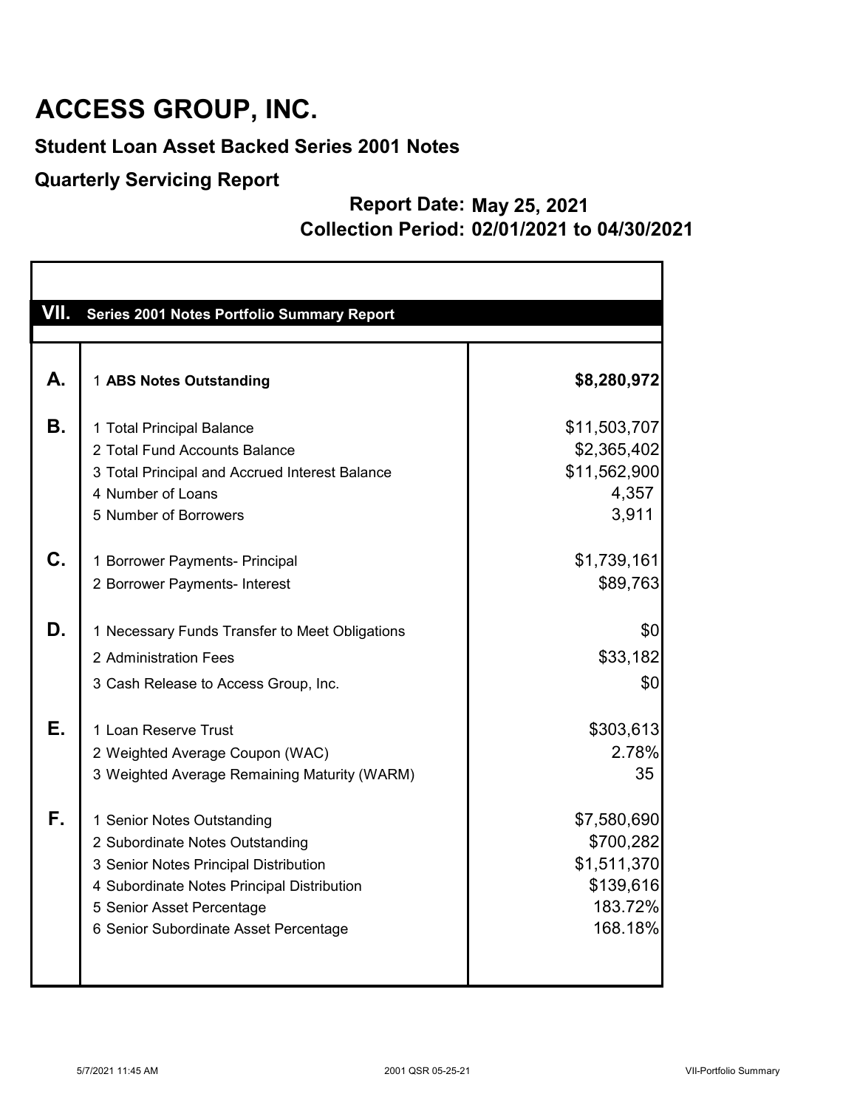#### **Student Loan Asset Backed Series 2001 Notes**

#### **Quarterly Servicing Report**

| VII. | Series 2001 Notes Portfolio Summary Report                                      |                             |
|------|---------------------------------------------------------------------------------|-----------------------------|
|      |                                                                                 |                             |
| А.   | 1 ABS Notes Outstanding                                                         | \$8,280,972                 |
| В.   | 1 Total Principal Balance                                                       | \$11,503,707                |
|      | 2 Total Fund Accounts Balance<br>3 Total Principal and Accrued Interest Balance | \$2,365,402<br>\$11,562,900 |
|      | 4 Number of Loans                                                               | 4,357                       |
|      | 5 Number of Borrowers                                                           | 3,911                       |
| C.   | 1 Borrower Payments- Principal                                                  | \$1,739,161                 |
|      | 2 Borrower Payments- Interest                                                   | \$89,763                    |
| D.   | 1 Necessary Funds Transfer to Meet Obligations                                  | \$0                         |
|      | 2 Administration Fees                                                           | \$33,182                    |
|      | 3 Cash Release to Access Group, Inc.                                            | \$0                         |
| Е.   | 1 Loan Reserve Trust                                                            | \$303,613                   |
|      | 2 Weighted Average Coupon (WAC)                                                 | 2.78%                       |
|      | 3 Weighted Average Remaining Maturity (WARM)                                    | 35                          |
| F.   | 1 Senior Notes Outstanding                                                      | \$7,580,690                 |
|      | 2 Subordinate Notes Outstanding                                                 | \$700,282                   |
|      | 3 Senior Notes Principal Distribution                                           | \$1,511,370                 |
|      | 4 Subordinate Notes Principal Distribution                                      | \$139,616                   |
|      | 5 Senior Asset Percentage                                                       | 183.72%<br>168.18%          |
|      | 6 Senior Subordinate Asset Percentage                                           |                             |
|      |                                                                                 |                             |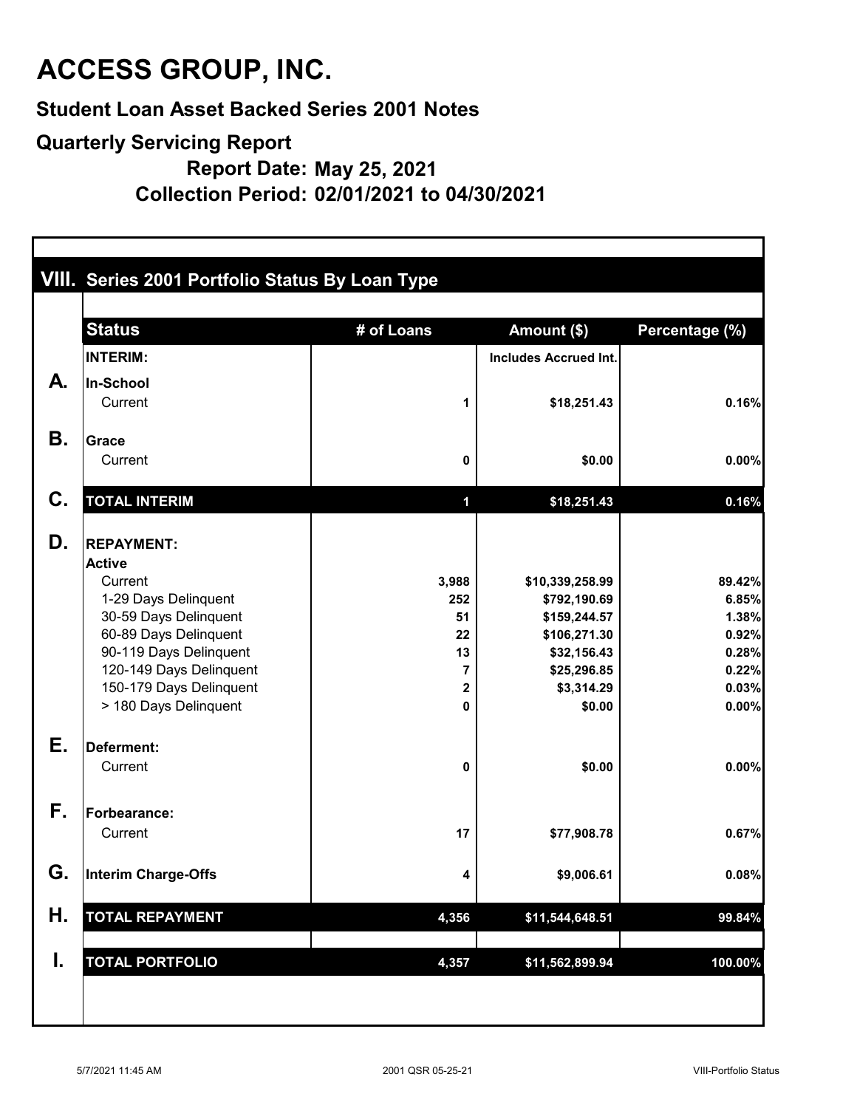**Student Loan Asset Backed Series 2001 Notes**

### **Quarterly Servicing Report**

**Report Date: May 25, 2021**

**Collection Period: 02/01/2021 to 04/30/2021**

|    |                                                | VIII. Series 2001 Portfolio Status By Loan Type |                              |                |  |  |  |
|----|------------------------------------------------|-------------------------------------------------|------------------------------|----------------|--|--|--|
|    | <b>Status</b>                                  | # of Loans                                      | Amount (\$)                  | Percentage (%) |  |  |  |
|    | <b>INTERIM:</b>                                |                                                 | <b>Includes Accrued Int.</b> |                |  |  |  |
| A. | In-School                                      |                                                 |                              |                |  |  |  |
|    | Current                                        | 1                                               | \$18,251.43                  | 0.16%          |  |  |  |
| Β. | <b>Grace</b>                                   |                                                 |                              |                |  |  |  |
|    | Current                                        | 0                                               | \$0.00                       | 0.00%          |  |  |  |
| C. | <b>TOTAL INTERIM</b>                           | $\mathbf 1$                                     | \$18,251.43                  | 0.16%          |  |  |  |
| D. | <b>REPAYMENT:</b>                              |                                                 |                              |                |  |  |  |
|    | <b>Active</b>                                  |                                                 |                              |                |  |  |  |
|    | Current                                        | 3,988                                           | \$10,339,258.99              | 89.42%         |  |  |  |
|    | 1-29 Days Delinquent                           | 252                                             | \$792,190.69                 | 6.85%          |  |  |  |
|    | 30-59 Days Delinquent<br>60-89 Days Delinquent | 51<br>22                                        | \$159,244.57<br>\$106,271.30 | 1.38%<br>0.92% |  |  |  |
|    | 90-119 Days Delinquent                         | 13                                              | \$32,156.43                  | 0.28%          |  |  |  |
|    | 120-149 Days Delinquent                        | 7                                               | \$25,296.85                  | 0.22%          |  |  |  |
|    | 150-179 Days Delinquent                        | $\mathbf 2$                                     | \$3,314.29                   | 0.03%          |  |  |  |
|    | > 180 Days Delinquent                          | 0                                               | \$0.00                       | 0.00%          |  |  |  |
| Е. | <b>Deferment:</b>                              |                                                 |                              |                |  |  |  |
|    | Current                                        | 0                                               | \$0.00                       | 0.00%          |  |  |  |
| F. | <b>Forbearance:</b>                            |                                                 |                              |                |  |  |  |
|    | Current                                        | 17                                              | \$77,908.78                  | 0.67%          |  |  |  |
| G. | Interim Charge-Offs                            | 4                                               | \$9,006.61                   | 0.08%          |  |  |  |
| Η. | <b>TOTAL REPAYMENT</b>                         | 4,356                                           | \$11,544,648.51              | 99.84%         |  |  |  |
| I. | <b>TOTAL PORTFOLIO</b>                         | 4,357                                           | \$11,562,899.94              | 100.00%        |  |  |  |
|    |                                                |                                                 |                              |                |  |  |  |
|    |                                                |                                                 |                              |                |  |  |  |